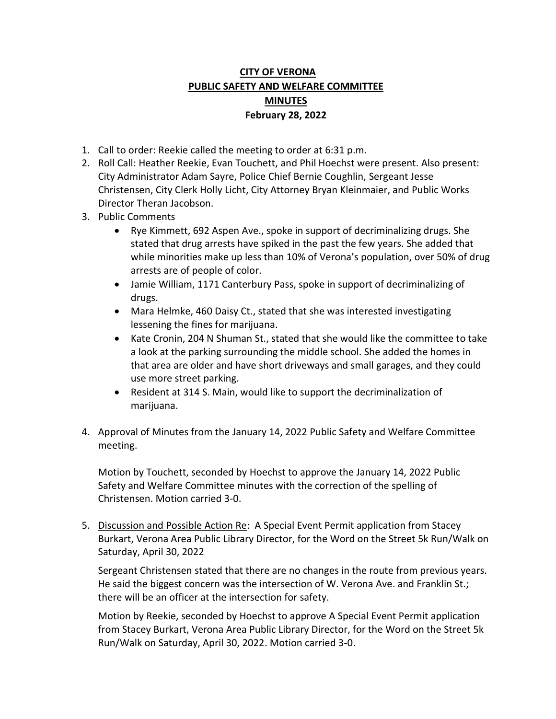## **CITY OF VERONA PUBLIC SAFETY AND WELFARE COMMITTEE MINUTES February 28, 2022**

- 1. Call to order: Reekie called the meeting to order at 6:31 p.m.
- 2. Roll Call: Heather Reekie, Evan Touchett, and Phil Hoechst were present. Also present: City Administrator Adam Sayre, Police Chief Bernie Coughlin, Sergeant Jesse Christensen, City Clerk Holly Licht, City Attorney Bryan Kleinmaier, and Public Works Director Theran Jacobson.
- 3. Public Comments
	- Rye Kimmett, 692 Aspen Ave., spoke in support of decriminalizing drugs. She stated that drug arrests have spiked in the past the few years. She added that while minorities make up less than 10% of Verona's population, over 50% of drug arrests are of people of color.
	- Jamie William, 1171 Canterbury Pass, spoke in support of decriminalizing of drugs.
	- Mara Helmke, 460 Daisy Ct., stated that she was interested investigating lessening the fines for marijuana.
	- Kate Cronin, 204 N Shuman St., stated that she would like the committee to take a look at the parking surrounding the middle school. She added the homes in that area are older and have short driveways and small garages, and they could use more street parking.
	- Resident at 314 S. Main, would like to support the decriminalization of marijuana.
- 4. Approval of Minutes from the January 14, 2022 Public Safety and Welfare Committee meeting.

Motion by Touchett, seconded by Hoechst to approve the January 14, 2022 Public Safety and Welfare Committee minutes with the correction of the spelling of Christensen. Motion carried 3-0.

5. Discussion and Possible Action Re: A Special Event Permit application from Stacey Burkart, Verona Area Public Library Director, for the Word on the Street 5k Run/Walk on Saturday, April 30, 2022

Sergeant Christensen stated that there are no changes in the route from previous years. He said the biggest concern was the intersection of W. Verona Ave. and Franklin St.; there will be an officer at the intersection for safety.

Motion by Reekie, seconded by Hoechst to approve A Special Event Permit application from Stacey Burkart, Verona Area Public Library Director, for the Word on the Street 5k Run/Walk on Saturday, April 30, 2022. Motion carried 3-0.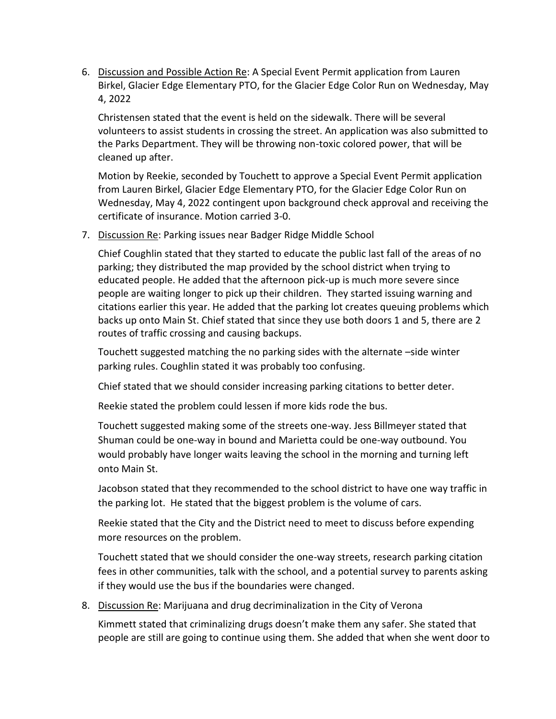6. Discussion and Possible Action Re: A Special Event Permit application from Lauren Birkel, Glacier Edge Elementary PTO, for the Glacier Edge Color Run on Wednesday, May 4, 2022

Christensen stated that the event is held on the sidewalk. There will be several volunteers to assist students in crossing the street. An application was also submitted to the Parks Department. They will be throwing non-toxic colored power, that will be cleaned up after.

Motion by Reekie, seconded by Touchett to approve a Special Event Permit application from Lauren Birkel, Glacier Edge Elementary PTO, for the Glacier Edge Color Run on Wednesday, May 4, 2022 contingent upon background check approval and receiving the certificate of insurance. Motion carried 3-0.

7. Discussion Re: Parking issues near Badger Ridge Middle School

Chief Coughlin stated that they started to educate the public last fall of the areas of no parking; they distributed the map provided by the school district when trying to educated people. He added that the afternoon pick-up is much more severe since people are waiting longer to pick up their children. They started issuing warning and citations earlier this year. He added that the parking lot creates queuing problems which backs up onto Main St. Chief stated that since they use both doors 1 and 5, there are 2 routes of traffic crossing and causing backups.

Touchett suggested matching the no parking sides with the alternate –side winter parking rules. Coughlin stated it was probably too confusing.

Chief stated that we should consider increasing parking citations to better deter.

Reekie stated the problem could lessen if more kids rode the bus.

Touchett suggested making some of the streets one-way. Jess Billmeyer stated that Shuman could be one-way in bound and Marietta could be one-way outbound. You would probably have longer waits leaving the school in the morning and turning left onto Main St.

Jacobson stated that they recommended to the school district to have one way traffic in the parking lot. He stated that the biggest problem is the volume of cars.

Reekie stated that the City and the District need to meet to discuss before expending more resources on the problem.

Touchett stated that we should consider the one-way streets, research parking citation fees in other communities, talk with the school, and a potential survey to parents asking if they would use the bus if the boundaries were changed.

8. Discussion Re: Marijuana and drug decriminalization in the City of Verona

Kimmett stated that criminalizing drugs doesn't make them any safer. She stated that people are still are going to continue using them. She added that when she went door to